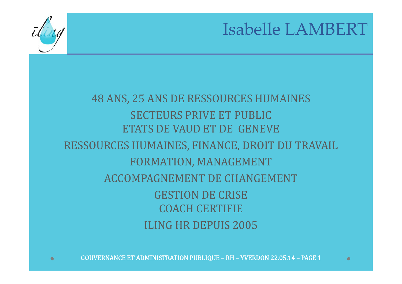

#### Isabelle LAMBERT

#### **48 ANS, 25 ANS DE RESSOURCES HUMAINES** SECTEURS PRIVE ET PUBLIC ETATS DE VAUD ET DE GENEVE RESSOURCES HUMAINES, FINANCE, DROIT DU TRAVAIL FORMATION, MANAGEMENT ACCOMPAGNEMENT DE CHANGEMENT GESTION DE CRISE COACH CERTIFIEILING HR DEPUIS 2005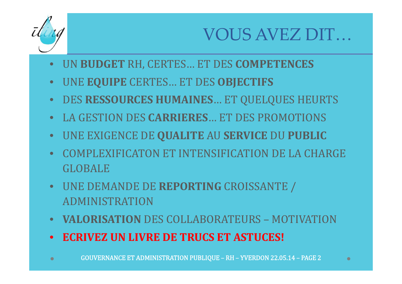

## VOUS AVEZ DIT…

- $\bullet$ UN **BUDGET** RH, CERTES… ET DES **COMPETENCES**
- UNE **EQUIPE** CERTES… ET DES **OBJECTIFS**
- DES **RESSOURCES HUMAINES**… ET QUELQUES HEURTS
- LA GESTION DES **CARRIERES**… ET DES PROMOTIONS
- UNE EXIGENCE DE **QUALITE** AU **SERVICE** DU **PUBLIC**
- COMPLEXIFICATON ET INTENSIFICATION DE LA CHARGE GLOBALE
- UNE DEMANDE DE REPORTING CROISSANTE / ADMINISTRATION
- **VALORISATION** DES COLLABORATEURS MOTIVATION
- **ECRIVEZ UN LIVRE DE TRUCS ET ASTUCES!**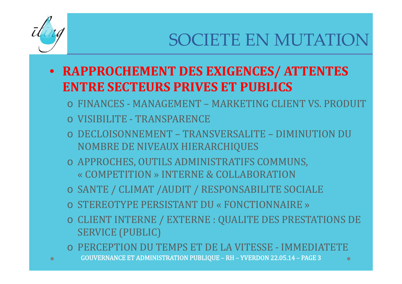

# SOCIETE EN MUTATION

- **RAPPROCHEMENT DES EXIGENCES/ ATTENTES ENTRE SECTEURS PRIVES ET PUBLICS**
	- o FINANCES MANAGEMENT MARKETING CLIENT VS. PRODUIT
	- o VISIBILITE TRANSPARENCE
	- o DECLOISONNEMENT TRANSVERSALITE DIMINUTION DU NOMBRE DE NIVEAUX HIERARCHIQUES
	- o APPROCHES, OUTILS ADMINISTRATIFS COMMUNS, « COMPETITION » INTERNE & COLLABORATION
	- o SANTE / CLIMAT /AUDIT / RESPONSABILITE SOCIALE
	- o STEREOTYPE PERSISTANT DU « FONCTIONNAIRE »
	- $\circ$  CLIENT INTERNE / EXTERNE : QUALITE DES PRESTATIONS DE **SERVICE (PUBLIC)**
	- o PERCEPTION DU TEMPS ET DE LA VITESSE ‐ IMMEDIATETE
	- GOUVERNANCE ET ADMINISTRATION PUBLIQUE RH YVERDON 22.05.14 PAGE 3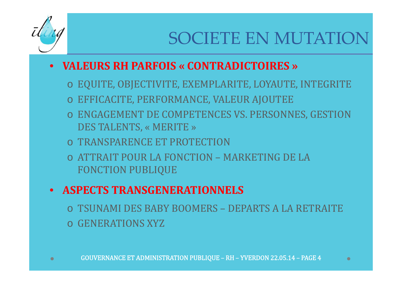

# SOCIETE EN MUTATION

#### • **VALEURS RH PARFOIS « CONTRADICTOIRES »**

- $\,\circ\,$  EQUITE, OBJECTIVITE, EXEMPLARITE, LOYAUTE, INTEGRITE
- $\, \circ \,$  EFFICACITE, PERFORMANCE, VALEUR AJOUTEE
- $\circ$  ENGAGEMENT DE COMPETENCES VS. PERSONNES, GESTION DES TALENTS, « MERITE »
- o TRANSPARENCE ET PROTECTION
- o ATTRAIT POUR LA FONCTION MARKETING DE LA FONCTION PUBLIQUE

#### • **ASPECTS TRANSGENERATIONNELS**

o TSUNAMI DES BABY BOOMERS – DEPARTS A LA RETRAITE o GENERATIONS XYZ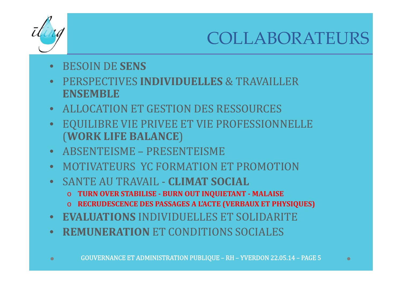

## COLLABORATEURS

- BESOIN DE **SENS**
- PERSPECTIVES **INDIVIDUELLES** & TRAVAILLER **ENSEMBLE**
- ALLOCATION ET GESTION DES RESSOURCES
- $\bullet$ EQUILIBRE VIE PRIVEE ET VIE PROFESSIONNELLE (**WORK LIFE BALANCE** )
- ABSENTEISME PRESENTEISME
- MOTIVATEURS YC FORMATION ET PROMOTION
- **SANTE AU TRAVAIL CLIMAT SOCIAL** 
	- o **TURN OVER STABILISE ‐ BURN OUT INQUIETANT ‐ MALAISE**
	- o **RECRUDESCENCE DES PASSAGES A L'ACTE (VERBAUX ET PHYSIQUES)**
- **EVALUATIONS** INDIVIDUELLES ET SOLIDARITE
- **REMUNERATION** ET CONDITIONS SOCIALES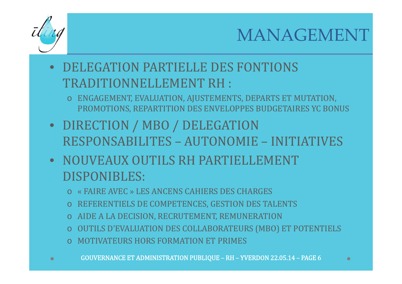

#### MANAGEMENT

- DELEGATION PARTIELLE DES FONTIONS TRADITIONNELLEMENT RH :
	- o ENGAGEMENT, EVALUATION, AJUSTEMENTS, DEPARTS ET MUTATION, PROMOTIONS, REPARTITION DES ENVELOPPES BUDGETAIRES YC BONUS
- DIRECTION / MBO / DELEGATION RESPONSABILITES - AUTONOMIE - INITIATIVES
- NOUVEAUX OUTILS RH PARTIELLEMENT DISPONIBLES:
	- o « FAIRE AVEC » LES ANCENS CAHIERS DES CHARGES
	- o REFERENTIELS DE COMPETENCES, GESTION DES TALENTS
	- o AIDE A LA DECISION, RECRUTEMENT, REMUNERATION
	- o OUTILS D'EVALUATION DES COLLABORATEURS (MBO) ET POTENTIELS
	- o MOTIVATEURS HORS FORMATION ET PRIMES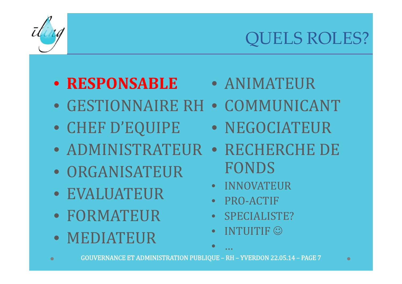

 $\bullet$ 

# QUELS ROLES?

#### • **RESPONSABLE**• ANIMATEUR

- GESTIONNAIRE RH COMMUNICANT
- CHEF D'EQUIPE
- NEGOCIATEUR
- ADMINISTRATEUR• RECHERCHE DE
- ORGANISATEUR
- EVALUATEUR
- FORMATEUR
- MEDIATEUR
- FONDS
- $\bullet$ INNOVATEUR
- $\bullet$ PRO‐ACTIF
- $\bullet$ SPECIALISTE?
- $\bullet$  $\bullet$  INTUITIF  $\odot$

•

…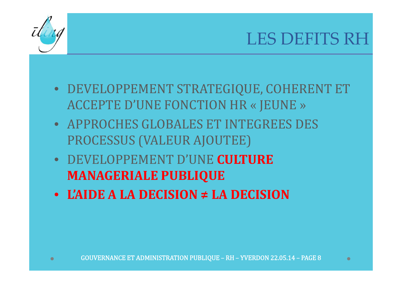

#### LES DEFITS RH

- DEVELOPPEMENT STRATEGIQUE, COHERENT ET ACCEPTE D'UNE FONCTION HR « JEUNE »
- APPROCHES GLOBALES ET INTEGREES DES PROCESSUS (VALEUR AJOUTEE)
- DEVELOPPEMENT D'UNE **CULTUREMANAGERIALE PUBLIQUE**
- **L'AIDEA LA DECISION ≠ LA DECISION**